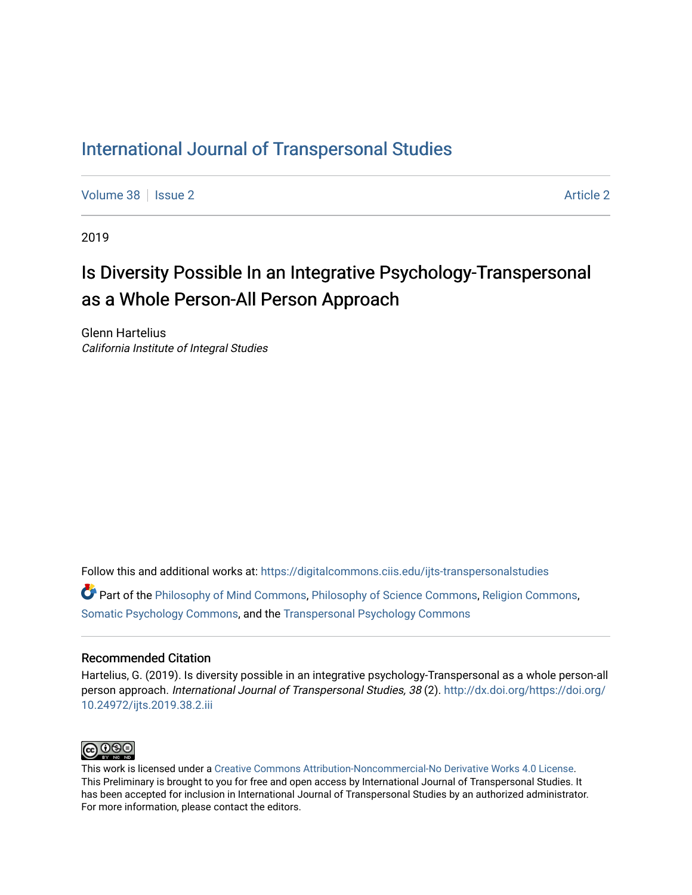## [International Journal of Transpersonal Studies](https://digitalcommons.ciis.edu/ijts-transpersonalstudies)

[Volume 38](https://digitalcommons.ciis.edu/ijts-transpersonalstudies/vol38) | [Issue 2](https://digitalcommons.ciis.edu/ijts-transpersonalstudies/vol38/iss2) [Article 2](https://digitalcommons.ciis.edu/ijts-transpersonalstudies/vol38/iss2/2) Article 2 Article 2 Article 2 Article 2 Article 2 Article 2

2019

# Is Diversity Possible In an Integrative Psychology-Transpersonal as a Whole Person-All Person Approach

Glenn Hartelius California Institute of Integral Studies

Follow this and additional works at: [https://digitalcommons.ciis.edu/ijts-transpersonalstudies](https://digitalcommons.ciis.edu/ijts-transpersonalstudies?utm_source=digitalcommons.ciis.edu%2Fijts-transpersonalstudies%2Fvol38%2Fiss2%2F2&utm_medium=PDF&utm_campaign=PDFCoverPages) 

Part of the [Philosophy of Mind Commons](http://network.bepress.com/hgg/discipline/535?utm_source=digitalcommons.ciis.edu%2Fijts-transpersonalstudies%2Fvol38%2Fiss2%2F2&utm_medium=PDF&utm_campaign=PDFCoverPages), [Philosophy of Science Commons,](http://network.bepress.com/hgg/discipline/536?utm_source=digitalcommons.ciis.edu%2Fijts-transpersonalstudies%2Fvol38%2Fiss2%2F2&utm_medium=PDF&utm_campaign=PDFCoverPages) [Religion Commons](http://network.bepress.com/hgg/discipline/538?utm_source=digitalcommons.ciis.edu%2Fijts-transpersonalstudies%2Fvol38%2Fiss2%2F2&utm_medium=PDF&utm_campaign=PDFCoverPages), [Somatic Psychology Commons,](http://network.bepress.com/hgg/discipline/1431?utm_source=digitalcommons.ciis.edu%2Fijts-transpersonalstudies%2Fvol38%2Fiss2%2F2&utm_medium=PDF&utm_campaign=PDFCoverPages) and the [Transpersonal Psychology Commons](http://network.bepress.com/hgg/discipline/1388?utm_source=digitalcommons.ciis.edu%2Fijts-transpersonalstudies%2Fvol38%2Fiss2%2F2&utm_medium=PDF&utm_campaign=PDFCoverPages) 

#### Recommended Citation

Hartelius, G. (2019). Is diversity possible in an integrative psychology-Transpersonal as a whole person-all person approach. International Journal of Transpersonal Studies, 38 (2). [http://dx.doi.org/https://doi.org/](http://dx.doi.org/https://doi.org/10.24972/ijts.2019.38.2.iii) [10.24972/ijts.2019.38.2.iii](http://dx.doi.org/https://doi.org/10.24972/ijts.2019.38.2.iii)



This work is licensed under a [Creative Commons Attribution-Noncommercial-No Derivative Works 4.0 License.](https://creativecommons.org/licenses/by-nc-nd/4.0/) This Preliminary is brought to you for free and open access by International Journal of Transpersonal Studies. It has been accepted for inclusion in International Journal of Transpersonal Studies by an authorized administrator. For more information, please contact the editors.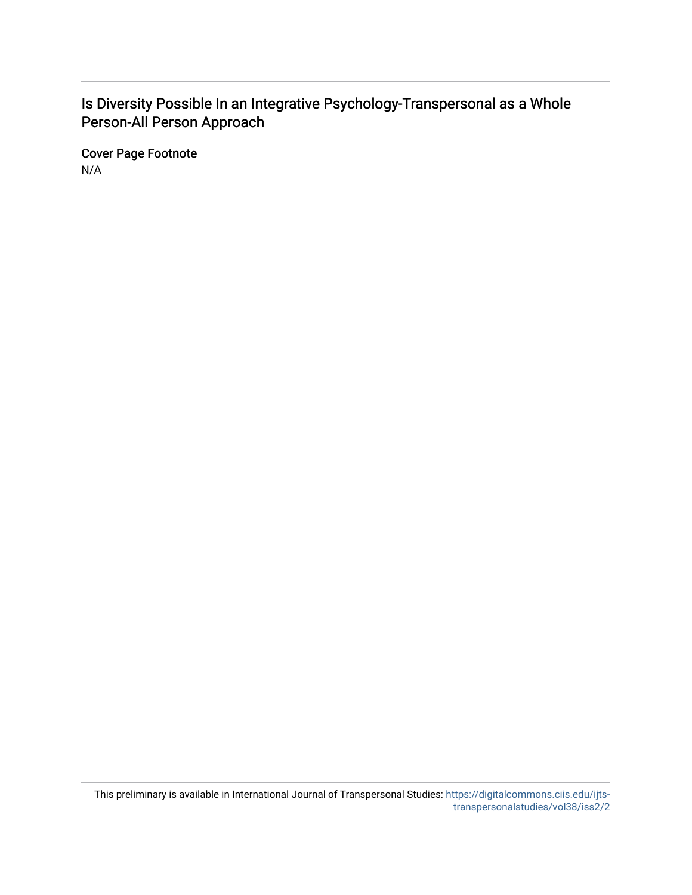## Is Diversity Possible In an Integrative Psychology-Transpersonal as a Whole Person-All Person Approach

Cover Page Footnote N/A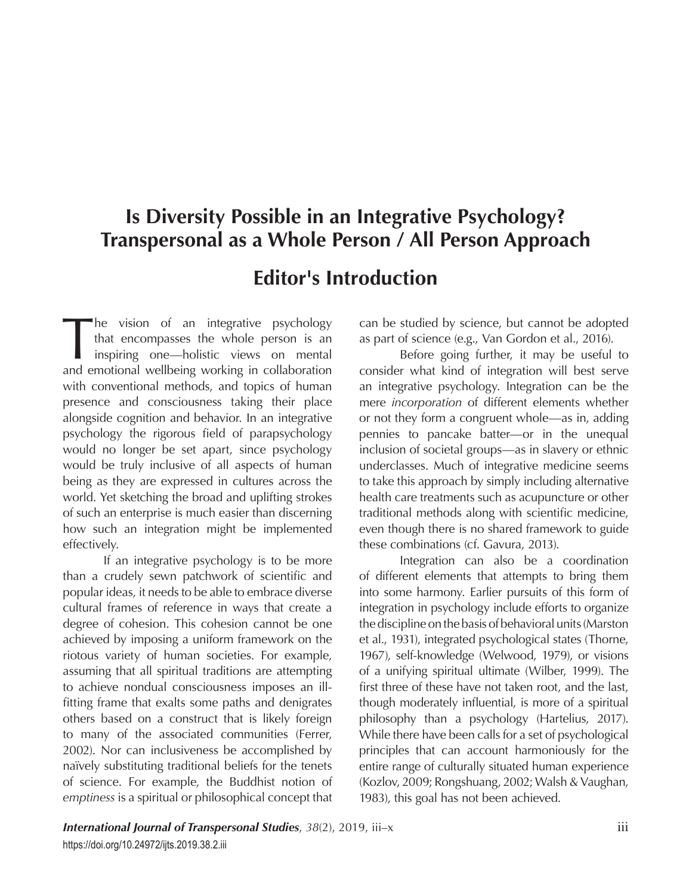# **Is Diversity Possible in an Integrative Psychology? Transpersonal as a Whole Person / All Person Approach**

## **Editor's Introduction**

The vision of an integrative psychology<br>that encompasses the whole person is an<br>inspiring one—holistic views on mental<br>and emotional wellbeing working in collaboration that encompasses the whole person is an inspiring one—holistic views on mental and emotional wellbeing working in collaboration with conventional methods, and topics of human presence and consciousness taking their place alongside cognition and behavior. In an integrative psychology the rigorous field of parapsychology would no longer be set apart, since psychology would be truly inclusive of all aspects of human being as they are expressed in cultures across the world. Yet sketching the broad and uplifting strokes of such an enterprise is much easier than discerning how such an integration might be implemented effectively.

If an integrative psychology is to be more than a crudely sewn patchwork of scientific and popular ideas, it needs to be able to embrace diverse cultural frames of reference in ways that create a degree of cohesion. This cohesion cannot be one achieved by imposing a uniform framework on the riotous variety of human societies. For example, assuming that all spiritual traditions are attempting to achieve nondual consciousness imposes an illfitting frame that exalts some paths and denigrates others based on a construct that is likely foreign to many of the associated communities (Ferrer, 2002). Nor can inclusiveness be accomplished by naïvely substituting traditional beliefs for the tenets of science. For example, the Buddhist notion of *emptiness* is a spiritual or philosophical concept that

can be studied by science, but cannot be adopted as part of science (e.g., Van Gordon et al., 2016).

Before going further, it may be useful to consider what kind of integration will best serve an integrative psychology. Integration can be the mere *incorporation* of different elements whether or not they form a congruent whole—as in, adding pennies to pancake batter—or in the unequal inclusion of societal groups—as in slavery or ethnic underclasses. Much of integrative medicine seems to take this approach by simply including alternative health care treatments such as acupuncture or other traditional methods along with scientific medicine, even though there is no shared framework to guide these combinations (cf. Gavura, 2013).

Integration can also be a coordination of different elements that attempts to bring them into some harmony. Earlier pursuits of this form of integration in psychology include efforts to organize the discipline on the basis of behavioral units (Marston et al., 1931), integrated psychological states (Thorne, 1967), self-knowledge (Welwood, 1979), or visions of a unifying spiritual ultimate (Wilber, 1999). The first three of these have not taken root, and the last, though moderately influential, is more of a spiritual philosophy than a psychology (Hartelius, 2017). While there have been calls for a set of psychological principles that can account harmoniously for the entire range of culturally situated human experience (Kozlov, 2009; Rongshuang, 2002; Walsh & Vaughan, 1983), this goal has not been achieved.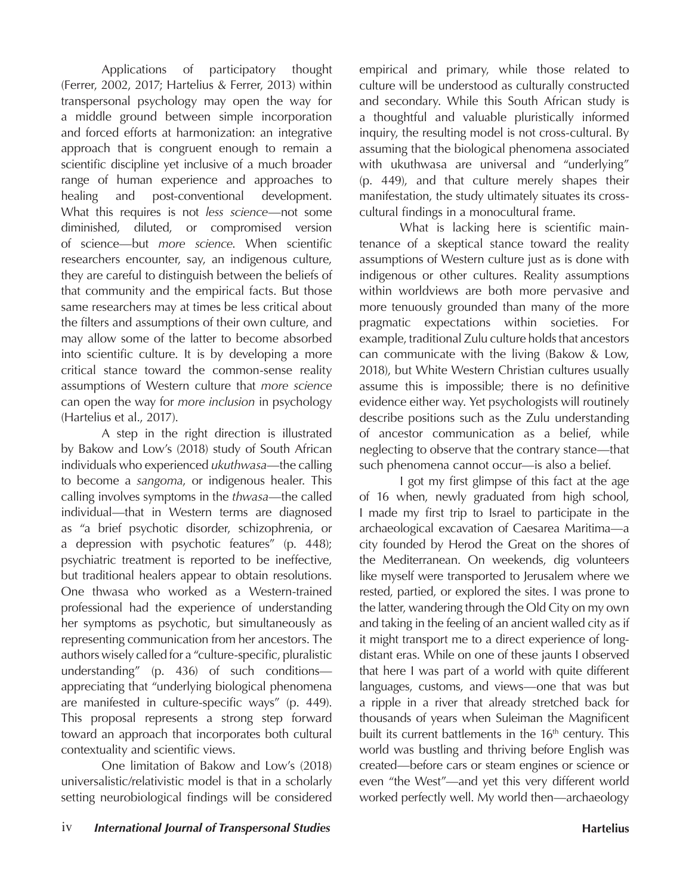Applications of participatory thought (Ferrer, 2002, 2017; Hartelius & Ferrer, 2013) within transpersonal psychology may open the way for a middle ground between simple incorporation and forced efforts at harmonization: an integrative approach that is congruent enough to remain a scientific discipline yet inclusive of a much broader range of human experience and approaches to healing and post-conventional development. What this requires is not *less science*—not some diminished, diluted, or compromised version of science—but *more science*. When scientific researchers encounter, say, an indigenous culture, they are careful to distinguish between the beliefs of that community and the empirical facts. But those same researchers may at times be less critical about the filters and assumptions of their own culture, and may allow some of the latter to become absorbed into scientific culture. It is by developing a more critical stance toward the common-sense reality assumptions of Western culture that *more science* can open the way for *more inclusion* in psychology (Hartelius et al., 2017).

A step in the right direction is illustrated by Bakow and Low's (2018) study of South African individuals who experienced *ukuthwasa*—the calling to become a *sangoma*, or indigenous healer. This calling involves symptoms in the *thwasa*—the called individual—that in Western terms are diagnosed as "a brief psychotic disorder, schizophrenia, or a depression with psychotic features" (p. 448); psychiatric treatment is reported to be ineffective, but traditional healers appear to obtain resolutions. One thwasa who worked as a Western-trained professional had the experience of understanding her symptoms as psychotic, but simultaneously as representing communication from her ancestors. The authors wisely called for a "culture-specific, pluralistic understanding" (p. 436) of such conditions appreciating that "underlying biological phenomena are manifested in culture-specific ways" (p. 449). This proposal represents a strong step forward toward an approach that incorporates both cultural contextuality and scientific views.

One limitation of Bakow and Low's (2018) universalistic/relativistic model is that in a scholarly setting neurobiological findings will be considered empirical and primary, while those related to culture will be understood as culturally constructed and secondary. While this South African study is a thoughtful and valuable pluristically informed inquiry, the resulting model is not cross-cultural. By assuming that the biological phenomena associated with ukuthwasa are universal and "underlying" (p. 449), and that culture merely shapes their manifestation, the study ultimately situates its crosscultural findings in a monocultural frame.

What is lacking here is scientific maintenance of a skeptical stance toward the reality assumptions of Western culture just as is done with indigenous or other cultures. Reality assumptions within worldviews are both more pervasive and more tenuously grounded than many of the more pragmatic expectations within societies. For example, traditional Zulu culture holds that ancestors can communicate with the living (Bakow & Low, 2018), but White Western Christian cultures usually assume this is impossible; there is no definitive evidence either way. Yet psychologists will routinely describe positions such as the Zulu understanding of ancestor communication as a belief, while neglecting to observe that the contrary stance—that such phenomena cannot occur—is also a belief.

I got my first glimpse of this fact at the age of 16 when, newly graduated from high school, I made my first trip to Israel to participate in the archaeological excavation of Caesarea Maritima—a city founded by Herod the Great on the shores of the Mediterranean. On weekends, dig volunteers like myself were transported to Jerusalem where we rested, partied, or explored the sites. I was prone to the latter, wandering through the Old City on my own and taking in the feeling of an ancient walled city as if it might transport me to a direct experience of longdistant eras. While on one of these jaunts I observed that here I was part of a world with quite different languages, customs, and views—one that was but a ripple in a river that already stretched back for thousands of years when Suleiman the Magnificent built its current battlements in the 16<sup>th</sup> century. This world was bustling and thriving before English was created—before cars or steam engines or science or even "the West"—and yet this very different world worked perfectly well. My world then—archaeology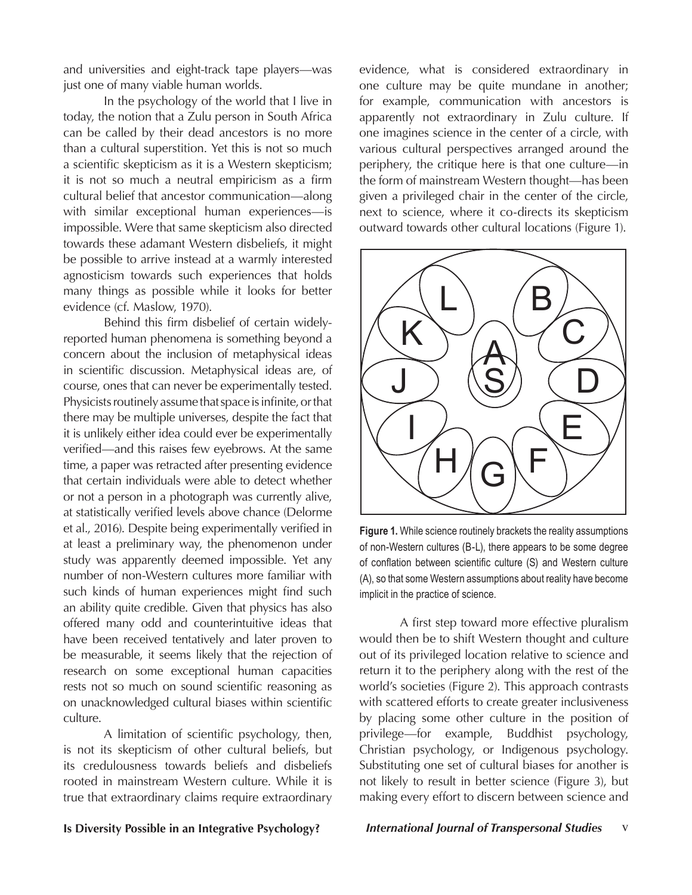and universities and eight-track tape players—was just one of many viable human worlds.

In the psychology of the world that I live in today, the notion that a Zulu person in South Africa can be called by their dead ancestors is no more than a cultural superstition. Yet this is not so much a scientific skepticism as it is a Western skepticism; it is not so much a neutral empiricism as a firm cultural belief that ancestor communication—along with similar exceptional human experiences—is impossible. Were that same skepticism also directed towards these adamant Western disbeliefs, it might be possible to arrive instead at a warmly interested agnosticism towards such experiences that holds many things as possible while it looks for better evidence (cf. Maslow, 1970).

Behind this firm disbelief of certain widelyreported human phenomena is something beyond a concern about the inclusion of metaphysical ideas in scientific discussion. Metaphysical ideas are, of course, ones that can never be experimentally tested. Physicists routinely assume that space is infinite, or that there may be multiple universes, despite the fact that it is unlikely either idea could ever be experimentally verified—and this raises few eyebrows. At the same time, a paper was retracted after presenting evidence that certain individuals were able to detect whether or not a person in a photograph was currently alive, at statistically verified levels above chance (Delorme et al., 2016). Despite being experimentally verified in at least a preliminary way, the phenomenon under study was apparently deemed impossible. Yet any number of non-Western cultures more familiar with such kinds of human experiences might find such an ability quite credible. Given that physics has also offered many odd and counterintuitive ideas that have been received tentatively and later proven to be measurable, it seems likely that the rejection of research on some exceptional human capacities rests not so much on sound scientific reasoning as on unacknowledged cultural biases within scientific culture.

A limitation of scientific psychology, then, is not its skepticism of other cultural beliefs, but its credulousness towards beliefs and disbeliefs rooted in mainstream Western culture. While it is true that extraordinary claims require extraordinary evidence, what is considered extraordinary in one culture may be quite mundane in another; for example, communication with ancestors is apparently not extraordinary in Zulu culture. If one imagines science in the center of a circle, with various cultural perspectives arranged around the periphery, the critique here is that one culture—in the form of mainstream Western thought—has been given a privileged chair in the center of the circle, next to science, where it co-directs its skepticism outward towards other cultural locations (Figure 1).



**Figure 1.** While science routinely brackets the reality assumptions of non-Western cultures (B-L), there appears to be some degree of conflation between scientific culture (S) and Western culture (A), so that some Western assumptions about reality have become implicit in the practice of science.

A first step toward more effective pluralism would then be to shift Western thought and culture out of its privileged location relative to science and return it to the periphery along with the rest of the world's societies (Figure 2). This approach contrasts with scattered efforts to create greater inclusiveness by placing some other culture in the position of privilege—for example, Buddhist psychology, Christian psychology, or Indigenous psychology. Substituting one set of cultural biases for another is not likely to result in better science (Figure 3), but making every effort to discern between science and

### **Is Diversity Possible in an Integrative Psychology?** *International Journal of Transpersonal Studies* v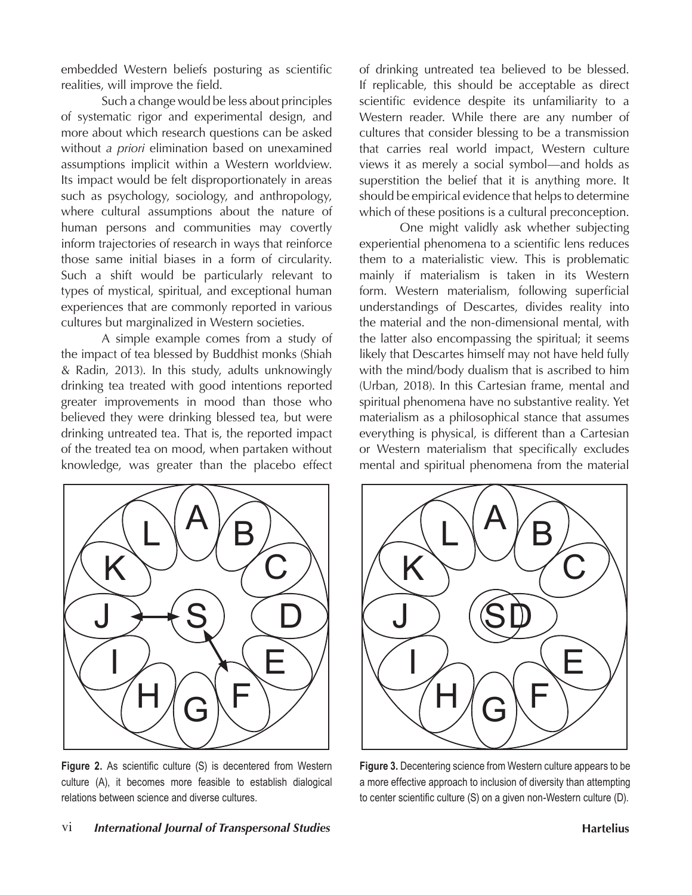embedded Western beliefs posturing as scientific realities, will improve the field.

Such a change would be less about principles of systematic rigor and experimental design, and more about which research questions can be asked without *a priori* elimination based on unexamined assumptions implicit within a Western worldview. Its impact would be felt disproportionately in areas such as psychology, sociology, and anthropology, where cultural assumptions about the nature of human persons and communities may covertly inform trajectories of research in ways that reinforce those same initial biases in a form of circularity. Such a shift would be particularly relevant to types of mystical, spiritual, and exceptional human experiences that are commonly reported in various cultures but marginalized in Western societies.

A simple example comes from a study of the impact of tea blessed by Buddhist monks (Shiah & Radin, 2013). In this study, adults unknowingly drinking tea treated with good intentions reported greater improvements in mood than those who believed they were drinking blessed tea, but were drinking untreated tea. That is, the reported impact of the treated tea on mood, when partaken without knowledge, was greater than the placebo effect of drinking untreated tea believed to be blessed. If replicable, this should be acceptable as direct scientific evidence despite its unfamiliarity to a Western reader. While there are any number of cultures that consider blessing to be a transmission that carries real world impact, Western culture views it as merely a social symbol—and holds as superstition the belief that it is anything more. It should be empirical evidence that helps to determine which of these positions is a cultural preconception.

One might validly ask whether subjecting experiential phenomena to a scientific lens reduces them to a materialistic view. This is problematic mainly if materialism is taken in its Western form. Western materialism, following superficial understandings of Descartes, divides reality into the material and the non-dimensional mental, with the latter also encompassing the spiritual; it seems likely that Descartes himself may not have held fully with the mind/body dualism that is ascribed to him (Urban, 2018). In this Cartesian frame, mental and spiritual phenomena have no substantive reality. Yet materialism as a philosophical stance that assumes everything is physical, is different than a Cartesian or Western materialism that specifically excludes mental and spiritual phenomena from the material



**Figure 2.** As scientific culture (S) is decentered from Western culture (A), it becomes more feasible to establish dialogical relations between science and diverse cultures.



**Figure 3.** Decentering science from Western culture appears to be a more effective approach to inclusion of diversity than attempting to center scientific culture (S) on a given non-Western culture (D).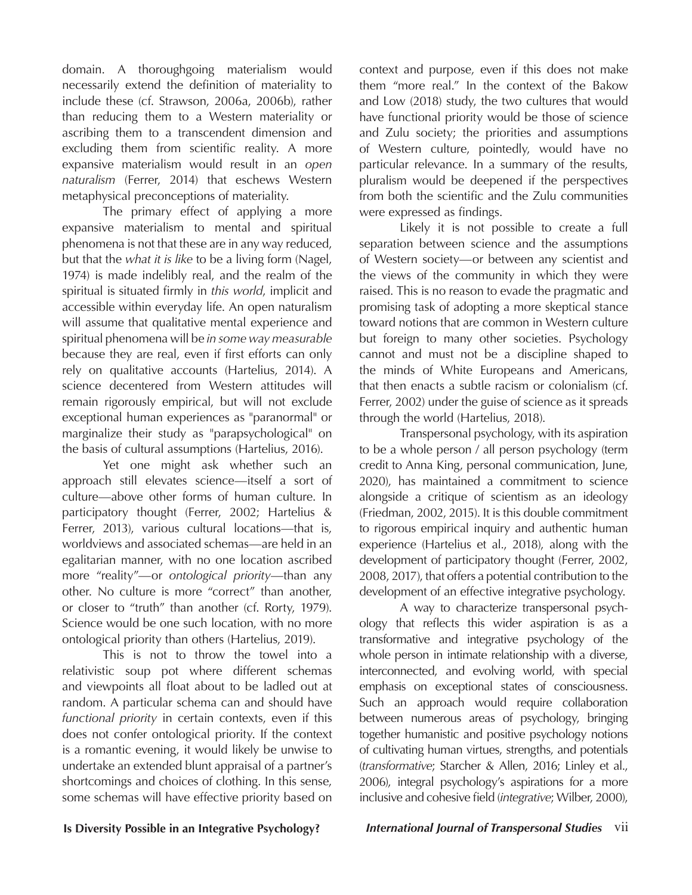domain. A thoroughgoing materialism would necessarily extend the definition of materiality to include these (cf. Strawson, 2006a, 2006b), rather than reducing them to a Western materiality or ascribing them to a transcendent dimension and excluding them from scientific reality. A more expansive materialism would result in an *open naturalism* (Ferrer, 2014) that eschews Western metaphysical preconceptions of materiality.

The primary effect of applying a more expansive materialism to mental and spiritual phenomena is not that these are in any way reduced, but that the *what it is like* to be a living form (Nagel, 1974) is made indelibly real, and the realm of the spiritual is situated firmly in *this world*, implicit and accessible within everyday life. An open naturalism will assume that qualitative mental experience and spiritual phenomena will be *in some way measurable*  because they are real, even if first efforts can only rely on qualitative accounts (Hartelius, 2014). A science decentered from Western attitudes will remain rigorously empirical, but will not exclude exceptional human experiences as "paranormal" or marginalize their study as "parapsychological" on the basis of cultural assumptions (Hartelius, 2016).

Yet one might ask whether such an approach still elevates science—itself a sort of culture—above other forms of human culture. In participatory thought (Ferrer, 2002; Hartelius & Ferrer, 2013), various cultural locations—that is, worldviews and associated schemas—are held in an egalitarian manner, with no one location ascribed more "reality"—or *ontological priority*—than any other. No culture is more "correct" than another, or closer to "truth" than another (cf. Rorty, 1979). Science would be one such location, with no more ontological priority than others (Hartelius, 2019).

This is not to throw the towel into a relativistic soup pot where different schemas and viewpoints all float about to be ladled out at random. A particular schema can and should have *functional priority* in certain contexts, even if this does not confer ontological priority. If the context is a romantic evening, it would likely be unwise to undertake an extended blunt appraisal of a partner's shortcomings and choices of clothing. In this sense, some schemas will have effective priority based on context and purpose, even if this does not make them "more real." In the context of the Bakow and Low (2018) study, the two cultures that would have functional priority would be those of science and Zulu society; the priorities and assumptions of Western culture, pointedly, would have no particular relevance. In a summary of the results, pluralism would be deepened if the perspectives from both the scientific and the Zulu communities were expressed as findings.

Likely it is not possible to create a full separation between science and the assumptions of Western society—or between any scientist and the views of the community in which they were raised. This is no reason to evade the pragmatic and promising task of adopting a more skeptical stance toward notions that are common in Western culture but foreign to many other societies. Psychology cannot and must not be a discipline shaped to the minds of White Europeans and Americans, that then enacts a subtle racism or colonialism (cf. Ferrer, 2002) under the guise of science as it spreads through the world (Hartelius, 2018).

Transpersonal psychology, with its aspiration to be a whole person / all person psychology (term credit to Anna King, personal communication, June, 2020), has maintained a commitment to science alongside a critique of scientism as an ideology (Friedman, 2002, 2015). It is this double commitment to rigorous empirical inquiry and authentic human experience (Hartelius et al., 2018), along with the development of participatory thought (Ferrer, 2002, 2008, 2017), that offers a potential contribution to the development of an effective integrative psychology.

A way to characterize transpersonal psychology that reflects this wider aspiration is as a transformative and integrative psychology of the whole person in intimate relationship with a diverse, interconnected, and evolving world, with special emphasis on exceptional states of consciousness. Such an approach would require collaboration between numerous areas of psychology, bringing together humanistic and positive psychology notions of cultivating human virtues, strengths, and potentials (*transformative*; Starcher & Allen, 2016; Linley et al., 2006), integral psychology's aspirations for a more inclusive and cohesive field (*integrative*; Wilber, 2000),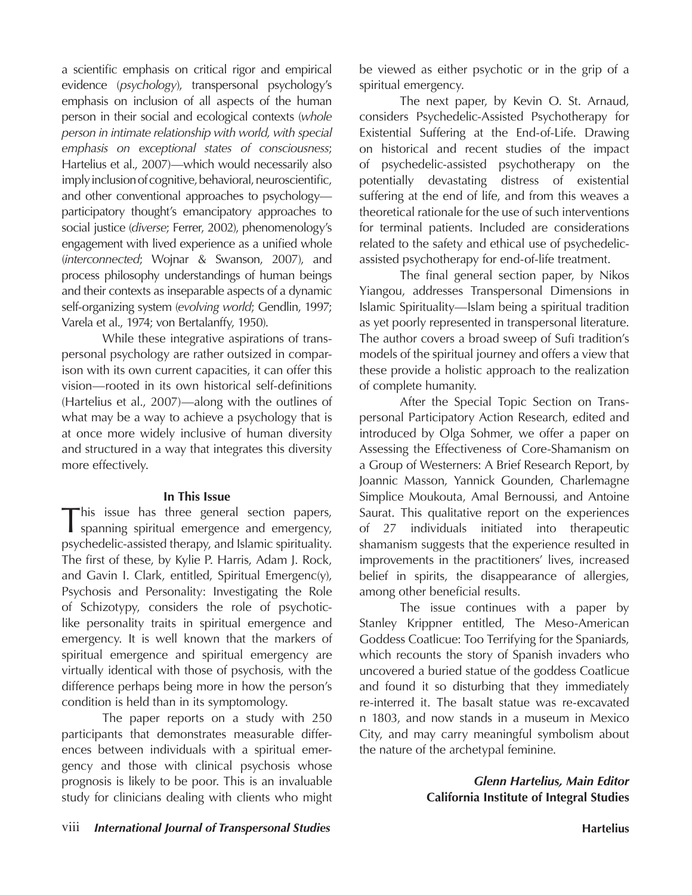a scientific emphasis on critical rigor and empirical evidence (*psychology*), transpersonal psychology's emphasis on inclusion of all aspects of the human person in their social and ecological contexts (*whole person in intimate relationship with world, with special emphasis on exceptional states of consciousness*; Hartelius et al., 2007)—which would necessarily also imply inclusion of cognitive, behavioral, neuroscientific, and other conventional approaches to psychology participatory thought's emancipatory approaches to social justice (*diverse*; Ferrer, 2002), phenomenology's engagement with lived experience as a unified whole (*interconnected*; Wojnar & Swanson, 2007), and process philosophy understandings of human beings and their contexts as inseparable aspects of a dynamic self-organizing system (*evolving world*; Gendlin, 1997; Varela et al., 1974; von Bertalanffy, 1950).

While these integrative aspirations of transpersonal psychology are rather outsized in comparison with its own current capacities, it can offer this vision—rooted in its own historical self-definitions (Hartelius et al., 2007)—along with the outlines of what may be a way to achieve a psychology that is at once more widely inclusive of human diversity and structured in a way that integrates this diversity more effectively.

#### **In This Issue**

This issue has three general section papers, spanning spiritual emergence and emergency, psychedelic-assisted therapy, and Islamic spirituality. The first of these, by Kylie P. Harris, Adam J. Rock, and Gavin I. Clark, entitled, Spiritual Emergenc(y), Psychosis and Personality: Investigating the Role of Schizotypy, considers the role of psychoticlike personality traits in spiritual emergence and emergency. It is well known that the markers of spiritual emergence and spiritual emergency are virtually identical with those of psychosis, with the difference perhaps being more in how the person's condition is held than in its symptomology.

The paper reports on a study with 250 participants that demonstrates measurable differences between individuals with a spiritual emergency and those with clinical psychosis whose prognosis is likely to be poor. This is an invaluable study for clinicians dealing with clients who might be viewed as either psychotic or in the grip of a spiritual emergency.

The next paper, by Kevin O. St. Arnaud, considers Psychedelic-Assisted Psychotherapy for Existential Suffering at the End-of-Life. Drawing on historical and recent studies of the impact of psychedelic-assisted psychotherapy on the potentially devastating distress of existential suffering at the end of life, and from this weaves a theoretical rationale for the use of such interventions for terminal patients. Included are considerations related to the safety and ethical use of psychedelicassisted psychotherapy for end-of-life treatment.

The final general section paper, by Nikos Yiangou, addresses Transpersonal Dimensions in Islamic Spirituality—Islam being a spiritual tradition as yet poorly represented in transpersonal literature. The author covers a broad sweep of Sufi tradition's models of the spiritual journey and offers a view that these provide a holistic approach to the realization of complete humanity.

After the Special Topic Section on Transpersonal Participatory Action Research, edited and introduced by Olga Sohmer, we offer a paper on Assessing the Effectiveness of Core-Shamanism on a Group of Westerners: A Brief Research Report, by Joannic Masson, Yannick Gounden, Charlemagne Simplice Moukouta, Amal Bernoussi, and Antoine Saurat. This qualitative report on the experiences of 27 individuals initiated into therapeutic shamanism suggests that the experience resulted in improvements in the practitioners' lives, increased belief in spirits, the disappearance of allergies, among other beneficial results.

The issue continues with a paper by Stanley Krippner entitled, The Meso-American Goddess Coatlicue: Too Terrifying for the Spaniards, which recounts the story of Spanish invaders who uncovered a buried statue of the goddess Coatlicue and found it so disturbing that they immediately re-interred it. The basalt statue was re-excavated n 1803, and now stands in a museum in Mexico City, and may carry meaningful symbolism about the nature of the archetypal feminine.

> *Glenn Hartelius, Main Editor* **California Institute of Integral Studies**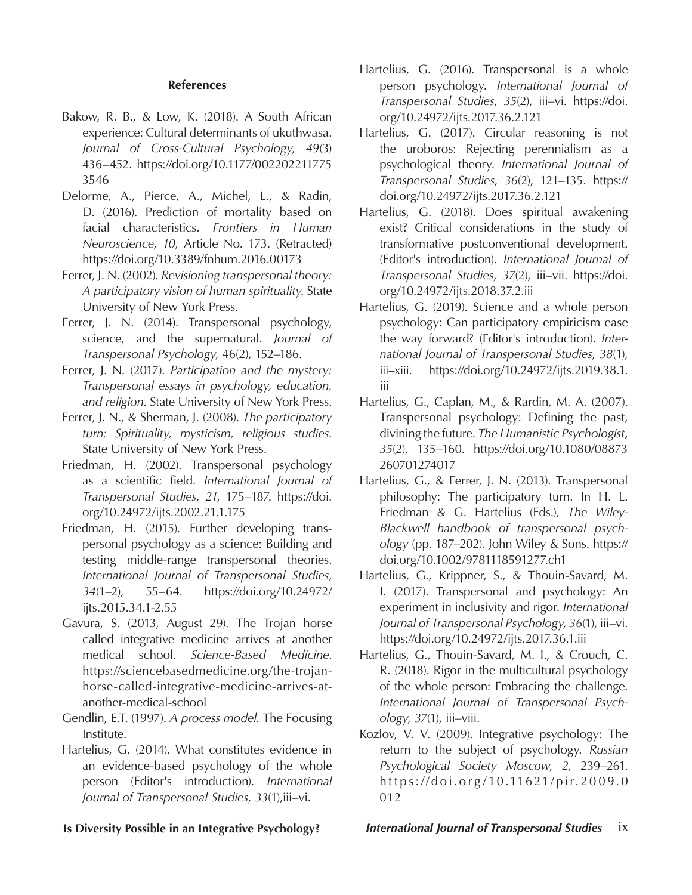#### **References**

- Bakow, R. B., & Low, K. (2018). A South African experience: Cultural determinants of ukuthwasa. *Journal of Cross-Cultural Psychology*, *49*(3) 436–452. https://doi.org/10.1177/002202211775 3546
- Delorme, A., Pierce, A., Michel, L., & Radin, D. (2016). Prediction of mortality based on facial characteristics. *Frontiers in Human Neuroscience*, *10*, Article No. 173. (Retracted) https://doi.org/10.3389/fnhum.2016.00173
- Ferrer, J. N. (2002). *Revisioning transpersonal theory: A participatory vision of human spirituality*. State University of New York Press.
- Ferrer, J. N. (2014). Transpersonal psychology, science, and the supernatural. *Journal of Transpersonal Psychology*, 46(2), 152–186.
- Ferrer, J. N. (2017). *Participation and the mystery: Transpersonal essays in psychology, education, and religion*. State University of New York Press.
- Ferrer, J. N., & Sherman, J. (2008). *The participatory turn: Spirituality, mysticism, religious studies*. State University of New York Press.
- Friedman, H. (2002). Transpersonal psychology as a scientific field. *International Journal of Transpersonal Studies*, *21*, 175–187. https://doi. org/10.24972/ijts.2002.21.1.175
- Friedman, H. (2015). Further developing transpersonal psychology as a science: Building and testing middle-range transpersonal theories. *International Journal of Transpersonal Studies*, *34*(1–2), 55–64. https://doi.org/10.24972/ ijts.2015.34.1-2.55
- Gavura, S. (2013, August 29). The Trojan horse called integrative medicine arrives at another medical school. *Science-Based Medicine*. https://sciencebasedmedicine.org/the-trojanhorse-called-integrative-medicine-arrives-atanother-medical-school
- Gendlin, E.T. (1997). *A process model.* The Focusing Institute.
- Hartelius, G. (2014). What constitutes evidence in an evidence-based psychology of the whole person (Editor's introduction). *International Journal of Transpersonal Studies*, *33*(1),iii–vi.
- Hartelius, G. (2016). Transpersonal is a whole person psychology. *International Journal of Transpersonal Studies*, *35*(2), iii–vi. https://doi. org/10.24972/ijts.2017.36.2.121
- Hartelius, G. (2017). Circular reasoning is not the uroboros: Rejecting perennialism as a psychological theory. *International Journal of Transpersonal Studies*, *36*(2), 121–135. https:// doi.org/10.24972/ijts.2017.36.2.121
- Hartelius, G. (2018). Does spiritual awakening exist? Critical considerations in the study of transformative postconventional development. (Editor's introduction). *International Journal of Transpersonal Studies*, *37*(2), iii–vii. https://doi. org/10.24972/ijts.2018.37.2.iii
- Hartelius, G. (2019). Science and a whole person psychology: Can participatory empiricism ease the way forward? (Editor's introduction). *International Journal of Transpersonal Studies*, *38*(1), iii–xiii. https://doi.org/10.24972/ijts.2019.38.1. iii
- Hartelius, G., Caplan, M., & Rardin, M. A. (2007). Transpersonal psychology: Defining the past, divining the future. *The Humanistic Psychologist, 35*(2), 135–160. https://doi.org/10.1080/08873 260701274017
- Hartelius, G., & Ferrer, J. N. (2013). Transpersonal philosophy: The participatory turn. In H. L. Friedman & G. Hartelius (Eds.), *The Wiley-Blackwell handbook of transpersonal psychology* (pp. 187–202). John Wiley & Sons. https:// doi.org/10.1002/9781118591277.ch1
- Hartelius, G., Krippner, S., & Thouin-Savard, M. I. (2017). Transpersonal and psychology: An experiment in inclusivity and rigor. *International Journal of Transpersonal Psychology*, *36*(1), iii–vi. https://doi.org/10.24972/ijts.2017.36.1.iii
- Hartelius, G., Thouin-Savard, M. I., & Crouch, C. R. (2018). Rigor in the multicultural psychology of the whole person: Embracing the challenge. *International Journal of Transpersonal Psychology*, *37*(1), iii–viii.
- Kozlov, V. V. (2009). Integrative psychology: The return to the subject of psychology. *Russian Psychological Society Moscow*, *2*, 239–261. https://doi.org /10.11621/pir.2009.0 012

**Is Diversity Possible in an Integrative Psychology?** *International Journal of Transpersonal Studies* ix